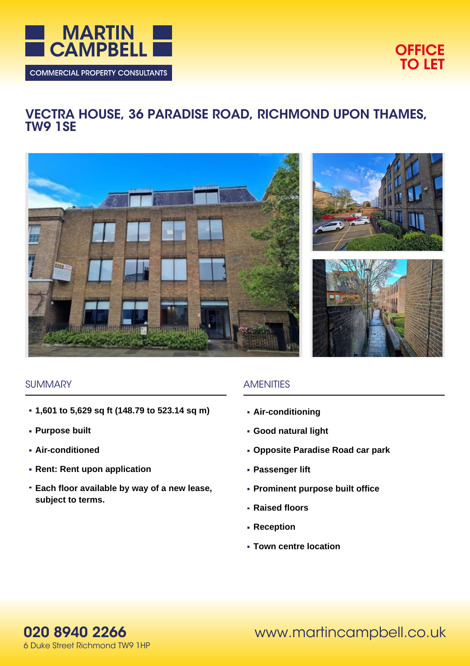

# **OFFICE TO LET**

# **VECTRA HOUSE, 36 PARADISE ROAD, RICHMOND UPON THAMES, TW9 1SE**







#### **SUMMARY**

- **1,601 to 5,629 sq ft (148.79 to 523.14 sq m)**
- **Purpose built**
- **Air-conditioned**
- **Rent: Rent upon application**
- **Each floor available by way of a new lease, subject to terms.**

## **AMENITIES**

- **Air-conditioning**
- **Good natural light**
- **Opposite Paradise Road car park**
- **Passenger lift**
- **Prominent purpose built office**
- **Raised floors**
- **Reception**
- **Town centre location**

www.martincampbell.co.uk

**020 8940 2266** 6 Duke Street Richmond TW9 1HP